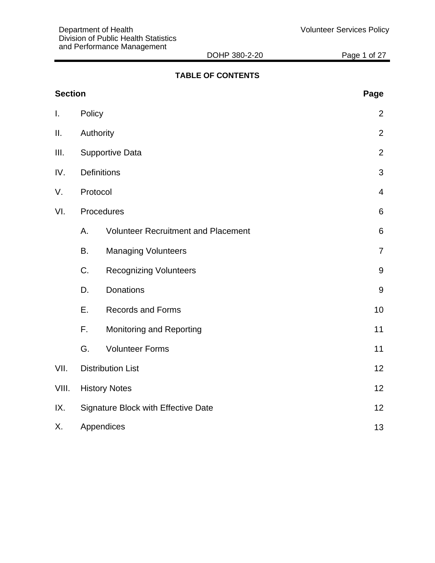DOHP 380-2-20 Page 1 of 27

# **TABLE OF CONTENTS**

| <b>Section</b> |                                     |                                            | Page           |
|----------------|-------------------------------------|--------------------------------------------|----------------|
| I.             | Policy                              |                                            | $\overline{2}$ |
| Ш.             |                                     | Authority                                  | $\overline{2}$ |
| III.           |                                     | <b>Supportive Data</b>                     | $\overline{2}$ |
| IV.            |                                     | <b>Definitions</b>                         | 3              |
| V.             | Protocol                            |                                            | $\overline{4}$ |
| VI.            |                                     | Procedures                                 | 6              |
|                | Α.                                  | <b>Volunteer Recruitment and Placement</b> | 6              |
|                | B.                                  | <b>Managing Volunteers</b>                 | $\overline{7}$ |
|                | C.                                  | <b>Recognizing Volunteers</b>              | 9              |
|                | D.                                  | Donations                                  | 9              |
|                | Ε.                                  | <b>Records and Forms</b>                   | 10             |
|                | F.                                  | Monitoring and Reporting                   | 11             |
|                | G.                                  | <b>Volunteer Forms</b>                     | 11             |
| VII.           |                                     | <b>Distribution List</b>                   | 12             |
| VIII.          |                                     | <b>History Notes</b>                       | 12             |
| IX.            | Signature Block with Effective Date | 12                                         |                |
| Χ.             |                                     | Appendices                                 | 13             |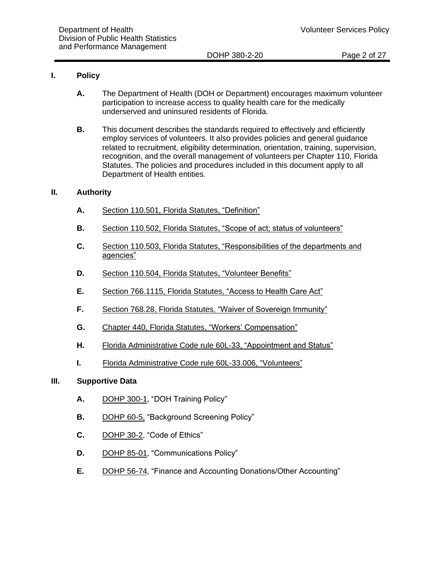#### **I. Policy**

- **A.** The Department of Health (DOH or Department) encourages maximum volunteer participation to increase access to quality health care for the medically underserved and uninsured residents of Florida.
- **B.** This document describes the standards required to effectively and efficiently employ services of volunteers. It also provides policies and general guidance related to recruitment, eligibility determination, orientation, training, supervision, recognition, and the overall management of volunteers per Chapter 110, Florida Statutes. The policies and procedures included in this document apply to all Department of Health entities.

#### **II. Authority**

- **A.** [Section 110.501, Florida Statutes,](http://www.flsenate.gov/Laws/Statutes/2012/Chapter110/Part_IV) "Definition"
- **B.** Section 110.502, Florida Statutes, ["Scope of act; status of volunteers"](http://www.flsenate.gov/Laws/Statutes/2012/Chapter110/Part_IV)
- **C.** Section 110.503, Florida Statutes, ["Responsibilities of the departments and](http://www.flsenate.gov/Laws/Statutes/2012/Chapter110/Part_IV)  [agencies"](http://www.flsenate.gov/Laws/Statutes/2012/Chapter110/Part_IV)
- **D.** [Section 110.504, Florida Statutes,](http://www.flsenate.gov/Laws/Statutes/2012/Chapter110/Part_IV) "Volunteer Benefits"
- **E.** [Section 766.1115, Florida Statutes,](http://www.flsenate.gov/Laws/Statutes/2013/766.1115) "Access to Health Care Act"
- **F.** [Section 768.28, Florida Statutes,](http://www.flsenate.gov/laws/statutes/2011/768.28) "Waiver of Sovereign Immunity"
- **G.** [Chapter 440, Florida Statutes,](https://www.flrules.org/gateway/ruleno.asp?id=60L-33.006) "Workers' Compensation"
- **H.** [Florida Administrative Code rule 60L-33,](https://www.flrules.org/gateway/ruleno.asp?id=60L-33.006) "Appointment and Status"
- **I.** [Florida Administrative Code rule 60L-33.006,](https://www.flrules.org/gateway/ruleno.asp?id=60L-33.006) "Volunteers"

#### **III. Supportive Data**

- **A.** [DOHP 300-1,](http://dohiws/Divisions/wfd/Policies/TrainingPolicy.pdf) "DOH Training Policy"
- **B.** [DOHP 60-5,](http://dohiws.doh.state.fl.us/Divisions/Administration/Personnel/Policies/DOHP_60-5.pdf) "Background Screening Policy"
- **C.** [DOHP 30-2,](http://dohwebdev.doh.state.fl.us/Divisions/General_Counsel/DOHP30-2-13_Code_of_Ethics.pdf) "Code of Ethics"
- **D.** [DOHP 85-01,](http://dohiws/Divisions/Communications/DOCS/DOHP85-01-13-CommunicationsPolicy.pdf) "Communications Policy"
- **E.** [DOHP](https://floridahealth.sharepoint.com/sites/DIVOFADMINISTRATION/Policies/Donations_Other_Accounting.pdf) 56-74, "Finance and Accounting Donations/Other Accounting"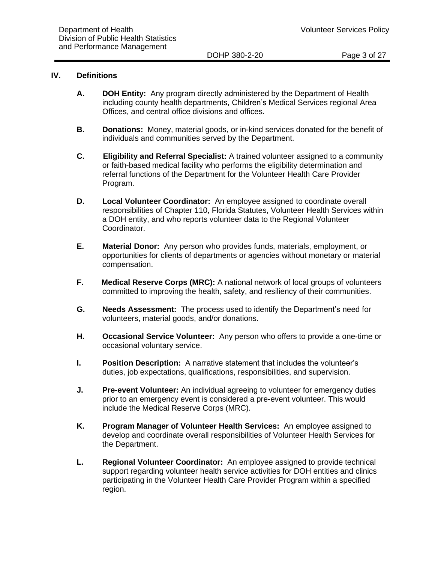#### **IV. Definitions**

- **A. DOH Entity:** Any program directly administered by the Department of Health including county health departments, Children's Medical Services regional Area Offices, and central office divisions and offices.
- **B. Donations:** Money, material goods, or in-kind services donated for the benefit of individuals and communities served by the Department.
- **C. Eligibility and Referral Specialist:** A trained volunteer assigned to a community or faith-based medical facility who performs the eligibility determination and referral functions of the Department for the Volunteer Health Care Provider Program.
- **D. Local Volunteer Coordinator:** An employee assigned to coordinate overall responsibilities of Chapter 110, Florida Statutes, Volunteer Health Services within a DOH entity, and who reports volunteer data to the Regional Volunteer Coordinator.
- **E. Material Donor:** Any person who provides funds, materials, employment, or opportunities for clients of departments or agencies without monetary or material compensation.
- **F. Medical Reserve Corps (MRC):** A national network of local groups of volunteers committed to improving the health, safety, and resiliency of their communities.
- **G. Needs Assessment:** The process used to identify the Department's need for volunteers, material goods, and/or donations.
- **H. Occasional Service Volunteer:** Any person who offers to provide a one-time or occasional voluntary service.
- **I. Position Description:** A narrative statement that includes the volunteer's duties, job expectations, qualifications, responsibilities, and supervision.
- **J. Pre-event Volunteer:** An individual agreeing to volunteer for emergency duties prior to an emergency event is considered a pre-event volunteer. This would include the Medical Reserve Corps (MRC).
- **K. Program Manager of Volunteer Health Services:** An employee assigned to develop and coordinate overall responsibilities of Volunteer Health Services for the Department.
- **L. Regional Volunteer Coordinator:** An employee assigned to provide technical support regarding volunteer health service activities for DOH entities and clinics participating in the Volunteer Health Care Provider Program within a specified region.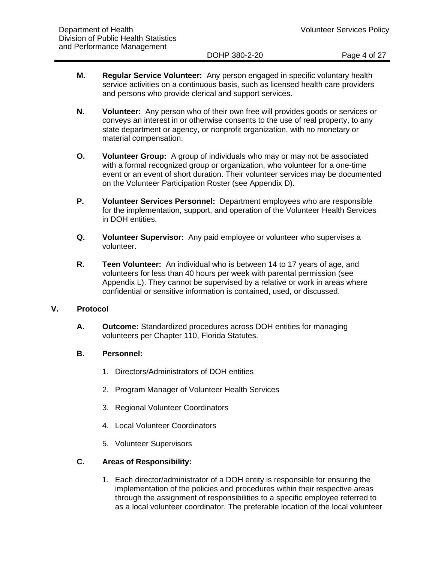DOHP 380-2-20 **Page 4 of 27** 

- **M. Regular Service Volunteer:** Any person engaged in specific voluntary health service activities on a continuous basis, such as licensed health care providers and persons who provide clerical and support services.
- **N. Volunteer:** Any person who of their own free will provides goods or services or conveys an interest in or otherwise consents to the use of real property, to any state department or agency, or nonprofit organization, with no monetary or material compensation.
- **O. Volunteer Group:** A group of individuals who may or may not be associated with a formal recognized group or organization, who volunteer for a one-time event or an event of short duration. Their volunteer services may be documented on the Volunteer Participation Roster (see Appendix D).
- **P. Volunteer Services Personnel:** Department employees who are responsible for the implementation, support, and operation of the Volunteer Health Services in DOH entities.
- **Q. Volunteer Supervisor:** Any paid employee or volunteer who supervises a volunteer.
- **R. Teen Volunteer:** An individual who is between 14 to 17 years of age, and volunteers for less than 40 hours per week with parental permission (see Appendix L). They cannot be supervised by a relative or work in areas where confidential or sensitive information is contained, used, or discussed.

#### **V. Protocol**

**A. Outcome:** Standardized procedures across DOH entities for managing volunteers per Chapter 110, Florida Statutes.

#### **B. Personnel:**

- 1. Directors/Administrators of DOH entities
- 2. Program Manager of Volunteer Health Services
- 3. Regional Volunteer Coordinators
- 4. Local Volunteer Coordinators
- 5. Volunteer Supervisors

# **C. Areas of Responsibility:**

1. Each director/administrator of a DOH entity is responsible for ensuring the implementation of the policies and procedures within their respective areas through the assignment of responsibilities to a specific employee referred to as a local volunteer coordinator. The preferable location of the local volunteer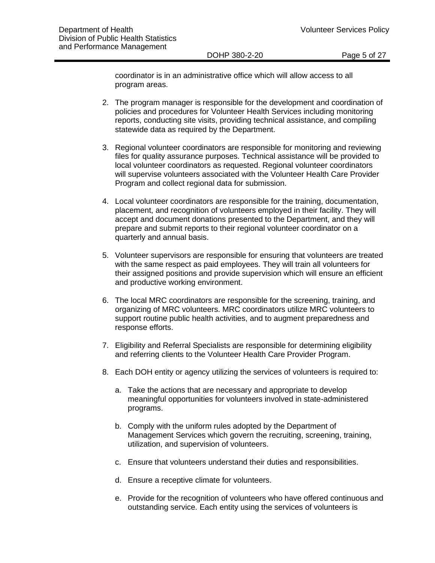DOHP 380-2-20 Page 5 of 27

coordinator is in an administrative office which will allow access to all program areas.

- 2. The program manager is responsible for the development and coordination of policies and procedures for Volunteer Health Services including monitoring reports, conducting site visits, providing technical assistance, and compiling statewide data as required by the Department.
- 3. Regional volunteer coordinators are responsible for monitoring and reviewing files for quality assurance purposes. Technical assistance will be provided to local volunteer coordinators as requested. Regional volunteer coordinators will supervise volunteers associated with the Volunteer Health Care Provider Program and collect regional data for submission.
- 4. Local volunteer coordinators are responsible for the training, documentation, placement, and recognition of volunteers employed in their facility. They will accept and document donations presented to the Department, and they will prepare and submit reports to their regional volunteer coordinator on a quarterly and annual basis.
- 5. Volunteer supervisors are responsible for ensuring that volunteers are treated with the same respect as paid employees. They will train all volunteers for their assigned positions and provide supervision which will ensure an efficient and productive working environment.
- 6. The local MRC coordinators are responsible for the screening, training, and organizing of MRC volunteers. MRC coordinators utilize MRC volunteers to support routine public health activities, and to augment preparedness and response efforts.
- 7. Eligibility and Referral Specialists are responsible for determining eligibility and referring clients to the Volunteer Health Care Provider Program.
- 8. Each DOH entity or agency utilizing the services of volunteers is required to:
	- a. Take the actions that are necessary and appropriate to develop meaningful opportunities for volunteers involved in state-administered programs.
	- b. Comply with the uniform rules adopted by the Department of Management Services which govern the recruiting, screening, training, utilization, and supervision of volunteers.
	- c. Ensure that volunteers understand their duties and responsibilities.
	- d. Ensure a receptive climate for volunteers.
	- e. Provide for the recognition of volunteers who have offered continuous and outstanding service. Each entity using the services of volunteers is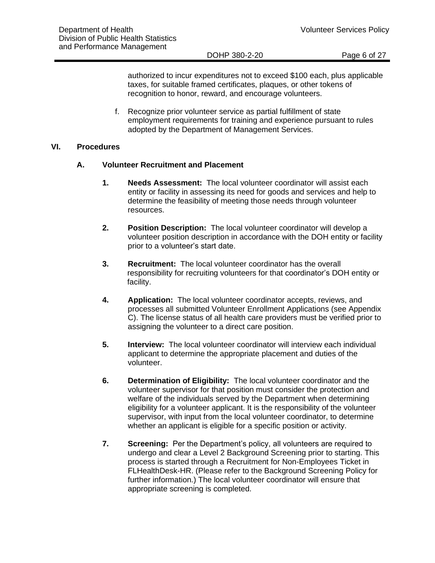DOHP 380-2-20 Page 6 of 27

authorized to incur expenditures not to exceed \$100 each, plus applicable taxes, for suitable framed certificates, plaques, or other tokens of recognition to honor, reward, and encourage volunteers.

f. Recognize prior volunteer service as partial fulfillment of state employment requirements for training and experience pursuant to rules adopted by the Department of Management Services.

#### **VI. Procedures**

#### **A. Volunteer Recruitment and Placement**

- **1. Needs Assessment:** The local volunteer coordinator will assist each entity or facility in assessing its need for goods and services and help to determine the feasibility of meeting those needs through volunteer resources.
- **2. Position Description:** The local volunteer coordinator will develop a volunteer position description in accordance with the DOH entity or facility prior to a volunteer's start date.
- **3. Recruitment:** The local volunteer coordinator has the overall responsibility for recruiting volunteers for that coordinator's DOH entity or facility.
- **4. Application:** The local volunteer coordinator accepts, reviews, and processes all submitted Volunteer Enrollment Applications (see Appendix C). The license status of all health care providers must be verified prior to assigning the volunteer to a direct care position.
- **5. Interview:** The local volunteer coordinator will interview each individual applicant to determine the appropriate placement and duties of the volunteer.
- **6. Determination of Eligibility:** The local volunteer coordinator and the volunteer supervisor for that position must consider the protection and welfare of the individuals served by the Department when determining eligibility for a volunteer applicant. It is the responsibility of the volunteer supervisor, with input from the local volunteer coordinator, to determine whether an applicant is eligible for a specific position or activity.
- **7. Screening:** Per the Department's policy, all volunteers are required to undergo and clear a Level 2 Background Screening prior to starting. This process is started through a Recruitment for Non-Employees Ticket in FLHealthDesk-HR. (Please refer to the Background Screening Policy for further information.) The local volunteer coordinator will ensure that appropriate screening is completed.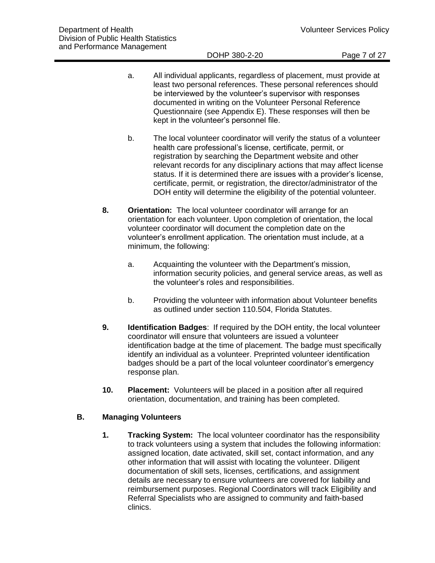- a. All individual applicants, regardless of placement, must provide at least two personal references. These personal references should be interviewed by the volunteer's supervisor with responses documented in writing on the Volunteer Personal Reference Questionnaire (see Appendix E). These responses will then be kept in the volunteer's personnel file.
- b. The local volunteer coordinator will verify the status of a volunteer health care professional's license, certificate, permit, or registration by searching the Department website and other relevant records for any disciplinary actions that may affect license status. If it is determined there are issues with a provider's license, certificate, permit, or registration, the director/administrator of the DOH entity will determine the eligibility of the potential volunteer.
- **8. Orientation:** The local volunteer coordinator will arrange for an orientation for each volunteer. Upon completion of orientation, the local volunteer coordinator will document the completion date on the volunteer's enrollment application. The orientation must include, at a minimum, the following:
	- a. Acquainting the volunteer with the Department's mission, information security policies, and general service areas, as well as the volunteer's roles and responsibilities.
	- b. Providing the volunteer with information about Volunteer benefits as outlined under section 110.504, Florida Statutes.
- **9. Identification Badges**: If required by the DOH entity, the local volunteer coordinator will ensure that volunteers are issued a volunteer identification badge at the time of placement. The badge must specifically identify an individual as a volunteer. Preprinted volunteer identification badges should be a part of the local volunteer coordinator's emergency response plan.
- **10. Placement:** Volunteers will be placed in a position after all required orientation, documentation, and training has been completed.

#### **B. Managing Volunteers**

**1. Tracking System:** The local volunteer coordinator has the responsibility to track volunteers using a system that includes the following information: assigned location, date activated, skill set, contact information, and any other information that will assist with locating the volunteer. Diligent documentation of skill sets, licenses, certifications, and assignment details are necessary to ensure volunteers are covered for liability and reimbursement purposes. Regional Coordinators will track Eligibility and Referral Specialists who are assigned to community and faith-based clinics.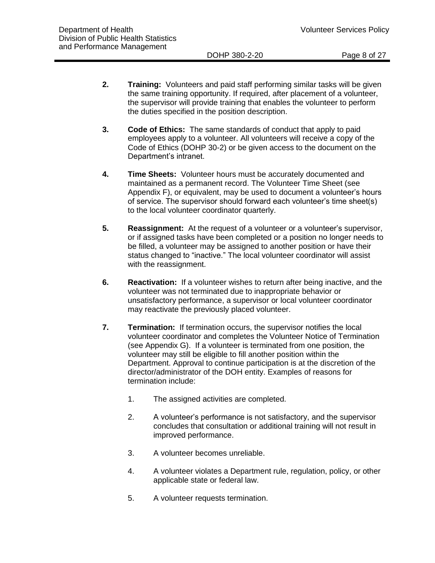- **2. Training:** Volunteers and paid staff performing similar tasks will be given the same training opportunity. If required, after placement of a volunteer, the supervisor will provide training that enables the volunteer to perform the duties specified in the position description.
- **3. Code of Ethics:** The same standards of conduct that apply to paid employees apply to a volunteer. All volunteers will receive a copy of the Code of Ethics (DOHP 30-2) or be given access to the document on the Department's intranet.
- **4. Time Sheets:** Volunteer hours must be accurately documented and maintained as a permanent record. The Volunteer Time Sheet (see Appendix F), or equivalent, may be used to document a volunteer's hours of service. The supervisor should forward each volunteer's time sheet(s) to the local volunteer coordinator quarterly.
- **5. Reassignment:** At the request of a volunteer or a volunteer's supervisor, or if assigned tasks have been completed or a position no longer needs to be filled, a volunteer may be assigned to another position or have their status changed to "inactive." The local volunteer coordinator will assist with the reassignment.
- **6. Reactivation:** If a volunteer wishes to return after being inactive, and the volunteer was not terminated due to inappropriate behavior or unsatisfactory performance, a supervisor or local volunteer coordinator may reactivate the previously placed volunteer.
- **7. Termination:** If termination occurs, the supervisor notifies the local volunteer coordinator and completes the Volunteer Notice of Termination (see Appendix G). If a volunteer is terminated from one position, the volunteer may still be eligible to fill another position within the Department. Approval to continue participation is at the discretion of the director/administrator of the DOH entity. Examples of reasons for termination include:
	- 1. The assigned activities are completed.
	- 2. A volunteer's performance is not satisfactory, and the supervisor concludes that consultation or additional training will not result in improved performance.
	- 3. A volunteer becomes unreliable.
	- 4. A volunteer violates a Department rule, regulation, policy, or other applicable state or federal law.
	- 5. A volunteer requests termination.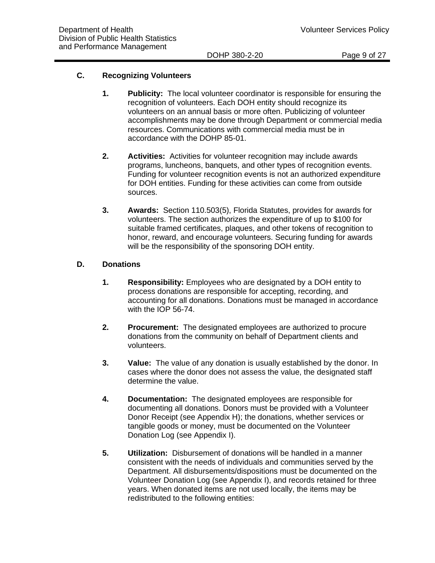# **C. Recognizing Volunteers**

- **1. Publicity:** The local volunteer coordinator is responsible for ensuring the recognition of volunteers. Each DOH entity should recognize its volunteers on an annual basis or more often. Publicizing of volunteer accomplishments may be done through Department or commercial media resources. Communications with commercial media must be in accordance with the DOHP 85-01.
- **2. Activities:** Activities for volunteer recognition may include awards programs, luncheons, banquets, and other types of recognition events. Funding for volunteer recognition events is not an authorized expenditure for DOH entities. Funding for these activities can come from outside sources.
- **3. Awards:** Section 110.503(5), Florida Statutes, provides for awards for volunteers. The section authorizes the expenditure of up to \$100 for suitable framed certificates, plaques, and other tokens of recognition to honor, reward, and encourage volunteers. Securing funding for awards will be the responsibility of the sponsoring DOH entity.

#### **D. Donations**

- **1. Responsibility:** Employees who are designated by a DOH entity to process donations are responsible for accepting, recording, and accounting for all donations. Donations must be managed in accordance with the IOP 56-74.
- **2. Procurement:** The designated employees are authorized to procure donations from the community on behalf of Department clients and volunteers.
- **3. Value:** The value of any donation is usually established by the donor. In cases where the donor does not assess the value, the designated staff determine the value.
- **4. Documentation:** The designated employees are responsible for documenting all donations. Donors must be provided with a Volunteer Donor Receipt (see Appendix H); the donations, whether services or tangible goods or money, must be documented on the Volunteer Donation Log (see Appendix I).
- **5. Utilization:** Disbursement of donations will be handled in a manner consistent with the needs of individuals and communities served by the Department. All disbursements/dispositions must be documented on the Volunteer Donation Log (see Appendix I), and records retained for three years. When donated items are not used locally, the items may be redistributed to the following entities: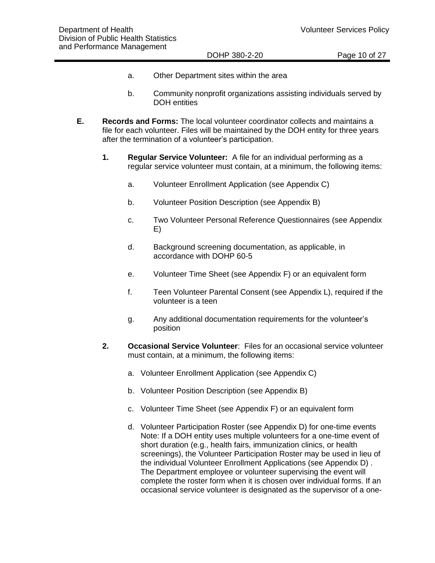#### DOHP 380-2-20 Page 10 of 27

- a. Other Department sites within the area
- b. Community nonprofit organizations assisting individuals served by DOH entities
- **E. Records and Forms:** The local volunteer coordinator collects and maintains a file for each volunteer. Files will be maintained by the DOH entity for three years after the termination of a volunteer's participation.
	- **1. Regular Service Volunteer:** A file for an individual performing as a regular service volunteer must contain, at a minimum, the following items:
		- a. Volunteer Enrollment Application (see Appendix C)
		- b. Volunteer Position Description (see Appendix B)
		- c. Two Volunteer Personal Reference Questionnaires (see Appendix E)
		- d. Background screening documentation, as applicable, in accordance with DOHP 60-5
		- e. Volunteer Time Sheet (see Appendix F) or an equivalent form
		- f. Teen Volunteer Parental Consent (see Appendix L), required if the volunteer is a teen
		- g. Any additional documentation requirements for the volunteer's position
	- **2. Occasional Service Volunteer**: Files for an occasional service volunteer must contain, at a minimum, the following items:
		- a. Volunteer Enrollment Application (see Appendix C)
		- b. Volunteer Position Description (see Appendix B)
		- c. Volunteer Time Sheet (see Appendix F) or an equivalent form
		- d. Volunteer Participation Roster (see Appendix D) for one-time events Note: If a DOH entity uses multiple volunteers for a one-time event of short duration (e.g., health fairs, immunization clinics, or health screenings), the Volunteer Participation Roster may be used in lieu of the individual Volunteer Enrollment Applications (see Appendix D) . The Department employee or volunteer supervising the event will complete the roster form when it is chosen over individual forms. If an occasional service volunteer is designated as the supervisor of a one-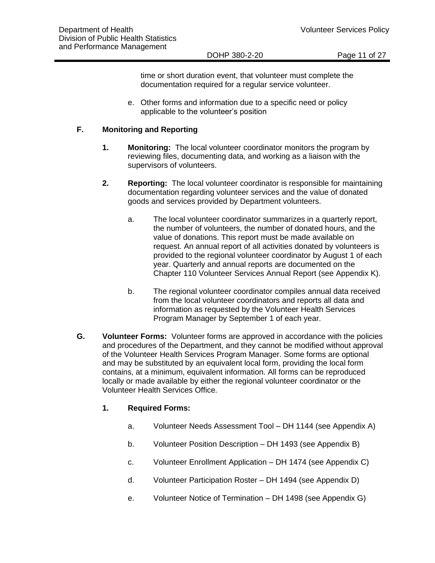DOHP 380-2-20 Page 11 of 27

time or short duration event, that volunteer must complete the documentation required for a regular service volunteer.

e. Other forms and information due to a specific need or policy applicable to the volunteer's position

#### **F. Monitoring and Reporting**

- **1. Monitoring:** The local volunteer coordinator monitors the program by reviewing files, documenting data, and working as a liaison with the supervisors of volunteers.
- **2. Reporting:** The local volunteer coordinator is responsible for maintaining documentation regarding volunteer services and the value of donated goods and services provided by Department volunteers.
	- a. The local volunteer coordinator summarizes in a quarterly report, the number of volunteers, the number of donated hours, and the value of donations. This report must be made available on request. An annual report of all activities donated by volunteers is provided to the regional volunteer coordinator by August 1 of each year. Quarterly and annual reports are documented on the Chapter 110 Volunteer Services Annual Report (see Appendix K).
	- b. The regional volunteer coordinator compiles annual data received from the local volunteer coordinators and reports all data and information as requested by the Volunteer Health Services Program Manager by September 1 of each year.
- **G. Volunteer Forms:** Volunteer forms are approved in accordance with the policies and procedures of the Department, and they cannot be modified without approval of the Volunteer Health Services Program Manager. Some forms are optional and may be substituted by an equivalent local form, providing the local form contains, at a minimum, equivalent information. All forms can be reproduced locally or made available by either the regional volunteer coordinator or the Volunteer Health Services Office.

#### **1. Required Forms:**

- a. Volunteer Needs Assessment Tool DH 1144 (see Appendix A)
- b. Volunteer Position Description DH 1493 (see Appendix B)
- c. Volunteer Enrollment Application DH 1474 (see Appendix C)
- d. Volunteer Participation Roster DH 1494 (see Appendix D)
- e. Volunteer Notice of Termination DH 1498 (see Appendix G)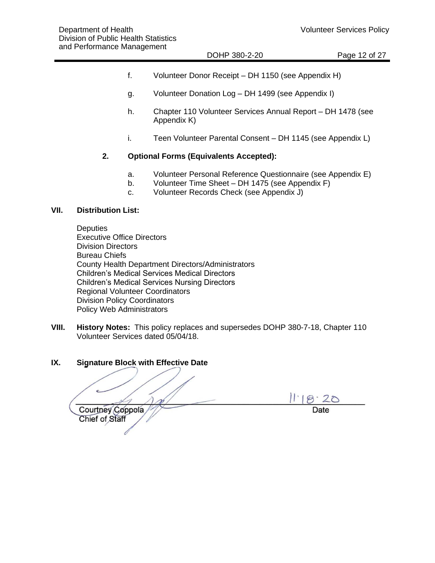#### DOHP 380-2-20 Page 12 of 27

- f. Volunteer Donor Receipt DH 1150 (see Appendix H)
- g. Volunteer Donation Log DH 1499 (see Appendix I)
- h. Chapter 110 Volunteer Services Annual Report DH 1478 (see Appendix K)
- i. Teen Volunteer Parental Consent DH 1145 (see Appendix L)

#### **2. Optional Forms (Equivalents Accepted):**

- a. Volunteer Personal Reference Questionnaire (see Appendix E)
- b. Volunteer Time Sheet DH 1475 (see Appendix F)
- c. Volunteer Records Check (see Appendix J)

#### **VII. Distribution List:**

**Deputies** Executive Office Directors Division Directors Bureau Chiefs County Health Department Directors/Administrators Children's Medical Services Medical Directors Children's Medical Services Nursing Directors Regional Volunteer Coordinators Division Policy Coordinators Policy Web Administrators

**VIII. History Notes:** This policy replaces and supersedes DOHP 380-7-18, Chapter 110 Volunteer Services dated 05/04/18.

#### **IX. Signature Block with Effective Date**

 $11.18.20$  $\mathcal{A}_{1}$ Courtney Coppola / / Date Chief of Staff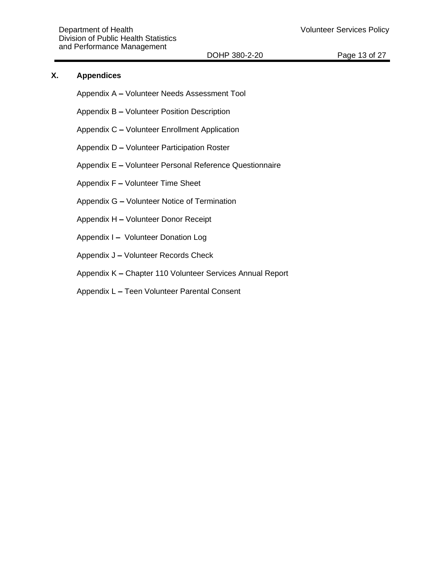#### **X. Appendices**

- Appendix A **–** Volunteer Needs Assessment Tool
- Appendix B **–** Volunteer Position Description
- Appendix C **–** Volunteer Enrollment Application
- Appendix D **–** Volunteer Participation Roster
- Appendix E **–** Volunteer Personal Reference Questionnaire
- Appendix F **–** Volunteer Time Sheet
- Appendix G **–** Volunteer Notice of Termination
- Appendix H **–** Volunteer Donor Receipt
- Appendix I **–** Volunteer Donation Log
- Appendix J **–** Volunteer Records Check
- Appendix K **–** Chapter 110 Volunteer Services Annual Report
- Appendix L **–** Teen Volunteer Parental Consent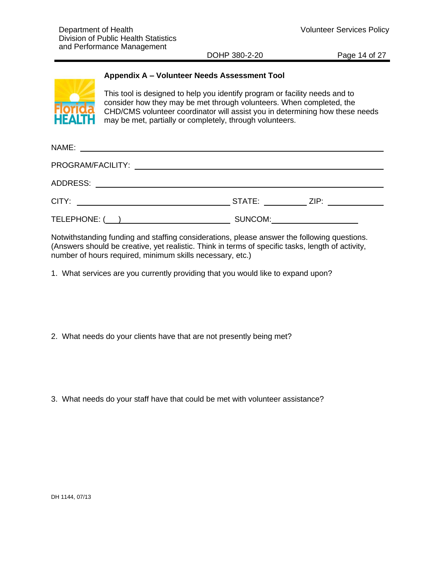DOHP 380-2-20 **Page 14 of 27** 

### **Appendix A – Volunteer Needs Assessment Tool**



This tool is designed to help you identify program or facility needs and to consider how they may be met through volunteers. When completed, the CHD/CMS volunteer coordinator will assist you in determining how these needs may be met, partially or completely, through volunteers.

| NAME:<br><u> 1989 - Johann Barnett, fransk politiker (d. 1989)</u>                                                                |         |                                            |  |  |  |  |  |
|-----------------------------------------------------------------------------------------------------------------------------------|---------|--------------------------------------------|--|--|--|--|--|
|                                                                                                                                   |         |                                            |  |  |  |  |  |
| ADDRESS:<br><u> 1989 - Johann John Stone, meil in der Stone aus der Stone aus der Stone aus der Stone aus der Stone aus der S</u> |         |                                            |  |  |  |  |  |
|                                                                                                                                   |         | STATE: ______________ ZIP: _______________ |  |  |  |  |  |
| TELEPHONE: ( )                                                                                                                    | SUNCOM: |                                            |  |  |  |  |  |

Notwithstanding funding and staffing considerations, please answer the following questions. (Answers should be creative, yet realistic. Think in terms of specific tasks, length of activity, number of hours required, minimum skills necessary, etc.)

1. What services are you currently providing that you would like to expand upon?

2. What needs do your clients have that are not presently being met?

3. What needs do your staff have that could be met with volunteer assistance?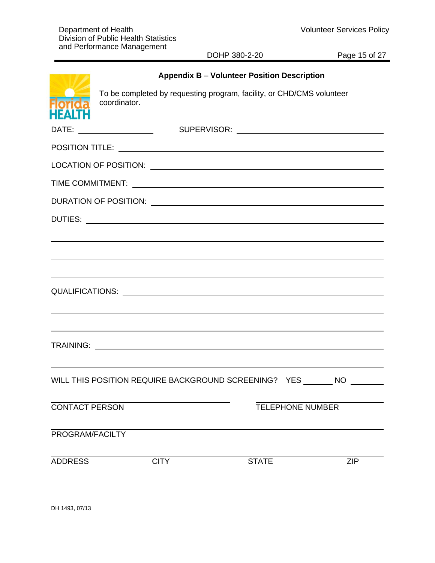DOHP 380-2-20 Page 15 of 27

|                                 |              |             | <b>Appendix B - Volunteer Position Description</b>                    |                         |            |
|---------------------------------|--------------|-------------|-----------------------------------------------------------------------|-------------------------|------------|
| <b>Florida</b><br><b>HEALTH</b> | coordinator. |             | To be completed by requesting program, facility, or CHD/CMS volunteer |                         |            |
|                                 |              |             |                                                                       |                         |            |
|                                 |              |             |                                                                       |                         |            |
|                                 |              |             |                                                                       |                         |            |
|                                 |              |             |                                                                       |                         |            |
|                                 |              |             |                                                                       |                         |            |
|                                 |              |             |                                                                       |                         |            |
|                                 |              |             |                                                                       |                         |            |
|                                 |              |             |                                                                       |                         |            |
|                                 |              |             |                                                                       |                         |            |
|                                 |              |             |                                                                       |                         |            |
|                                 |              |             |                                                                       |                         |            |
|                                 |              |             |                                                                       |                         |            |
|                                 |              |             |                                                                       |                         |            |
|                                 |              |             |                                                                       |                         |            |
|                                 |              |             | WILL THIS POSITION REQUIRE BACKGROUND SCREENING? YES NO               |                         |            |
| <b>CONTACT PERSON</b>           |              |             |                                                                       | <b>TELEPHONE NUMBER</b> |            |
|                                 |              |             |                                                                       |                         |            |
| PROGRAM/FACILTY                 |              |             |                                                                       |                         |            |
| <b>ADDRESS</b>                  |              | <b>CITY</b> | <b>STATE</b>                                                          |                         | <b>ZIP</b> |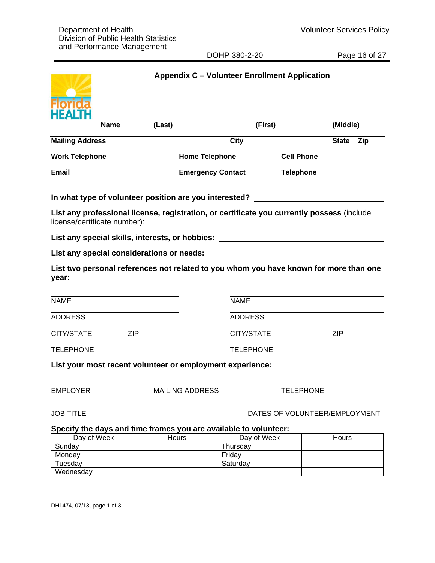DOHP 380-2-20 Page 16 of 27

|                                                        |             |        |                          | <b>Appendix C - Volunteer Enrollment Application</b>                                                            |                   |                               |     |
|--------------------------------------------------------|-------------|--------|--------------------------|-----------------------------------------------------------------------------------------------------------------|-------------------|-------------------------------|-----|
|                                                        | <b>Name</b> | (Last) |                          | (First)                                                                                                         |                   | (Middle)                      |     |
| <b>Mailing Address</b>                                 |             |        |                          | <b>City</b>                                                                                                     |                   | <b>State</b>                  | Zip |
| <b>Work Telephone</b>                                  |             |        | <b>Home Telephone</b>    |                                                                                                                 | <b>Cell Phone</b> |                               |     |
| Email                                                  |             |        | <b>Emergency Contact</b> |                                                                                                                 | <b>Telephone</b>  |                               |     |
| In what type of volunteer position are you interested? |             |        |                          |                                                                                                                 |                   |                               |     |
| license/certificate number):                           |             |        |                          | List any professional license, registration, or certificate you currently possess (include                      |                   |                               |     |
|                                                        |             |        |                          | List any special skills, interests, or hobbies: the controller controller controller controller controller cont |                   |                               |     |
| List any special considerations or needs:              |             |        |                          |                                                                                                                 |                   |                               |     |
| year:                                                  |             |        |                          | List two personal references not related to you whom you have known for more than one                           |                   |                               |     |
| <b>NAME</b>                                            |             |        |                          | <b>NAME</b>                                                                                                     |                   |                               |     |
| <b>ADDRESS</b>                                         |             |        |                          | <b>ADDRESS</b>                                                                                                  |                   |                               |     |
| CITY/STATE                                             | <b>ZIP</b>  |        |                          | CITY/STATE                                                                                                      |                   | <b>ZIP</b>                    |     |
| <b>TELEPHONE</b>                                       |             |        |                          | <b>TELEPHONE</b>                                                                                                |                   |                               |     |
|                                                        |             |        |                          | List your most recent volunteer or employment experience:                                                       |                   |                               |     |
| <b>EMPLOYER</b>                                        |             |        | <b>MAILING ADDRESS</b>   |                                                                                                                 | <b>TELEPHONE</b>  |                               |     |
| <b>JOB TITLE</b>                                       |             |        |                          |                                                                                                                 |                   | DATES OF VOLUNTEER/EMPLOYMENT |     |
|                                                        |             |        |                          | Specify the days and time frames you are available to volunteer:                                                |                   |                               |     |
| Day of Week                                            |             |        | Hours                    | Day of Week                                                                                                     |                   | Hours                         |     |
| Sunday                                                 |             |        |                          | Thursday                                                                                                        |                   |                               |     |
| Monday                                                 |             |        |                          | Friday                                                                                                          |                   |                               |     |

**Wednesday** 

Tuesday **Saturday** Saturday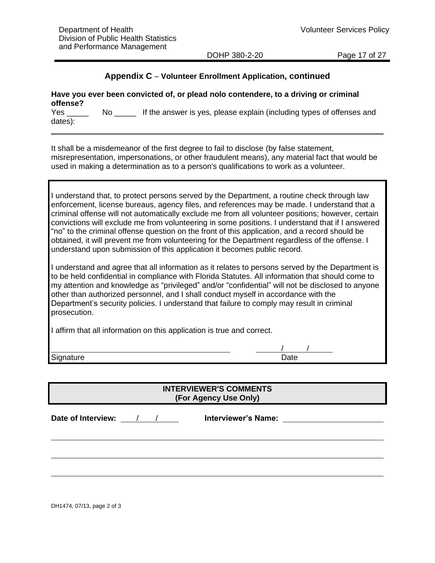DOHP 380-2-20 Page 17 of 27

# **Appendix C** – **Volunteer Enrollment Application, continued**

| offense?       |     | Have you ever been convicted of, or plead nolo contendere, to a driving or criminal |
|----------------|-----|-------------------------------------------------------------------------------------|
| Yes<br>dates): | No. | If the answer is yes, please explain (including types of offenses and               |

It shall be a misdemeanor of the first degree to fail to disclose (by false statement, misrepresentation, impersonations, or other fraudulent means), any material fact that would be used in making a determination as to a person's qualifications to work as a volunteer.

| I understand that, to protect persons served by the Department, a routine check through law       |
|---------------------------------------------------------------------------------------------------|
| enforcement, license bureaus, agency files, and references may be made. I understand that a       |
| criminal offense will not automatically exclude me from all volunteer positions; however, certain |
| convictions will exclude me from volunteering in some positions. I understand that if I answered  |
| "no" to the criminal offense question on the front of this application, and a record should be    |
| obtained, it will prevent me from volunteering for the Department regardless of the offense. I    |
| understand upon submission of this application it becomes public record.                          |

I understand and agree that all information as it relates to persons served by the Department is to be held confidential in compliance with Florida Statutes. All information that should come to my attention and knowledge as "privileged" and/or "confidential" will not be disclosed to anyone other than authorized personnel, and I shall conduct myself in accordance with the Department's security policies. I understand that failure to comply may result in criminal prosecution.

I affirm that all information on this application is true and correct.

Signature Date

# **INTERVIEWER'S COMMENTS (For Agency Use Only)**

Date of Interview: <u>/ / / meterviewer's Name:</u> **Name: 1988** 

/ /

DH1474, 07/13, page 2 of 3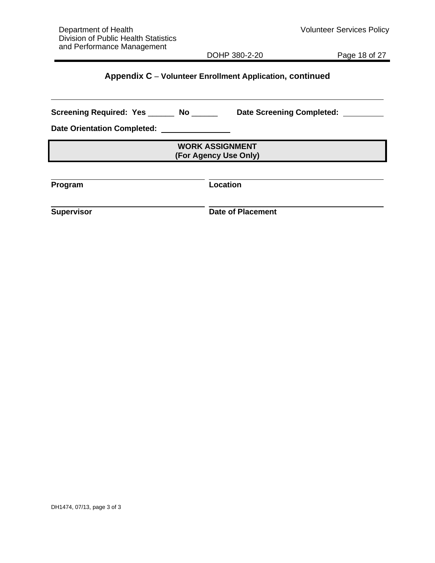DOHP 380-2-20 Page 18 of 27

# **Appendix C** – **Volunteer Enrollment Application, continued**

| Screening Required: Yes ______     | <b>Date Screening Completed:</b>                |
|------------------------------------|-------------------------------------------------|
| <b>Date Orientation Completed:</b> |                                                 |
|                                    | <b>WORK ASSIGNMENT</b><br>(For Agency Use Only) |
| Program                            | <b>Location</b>                                 |
| <b>Supervisor</b>                  | <b>Date of Placement</b>                        |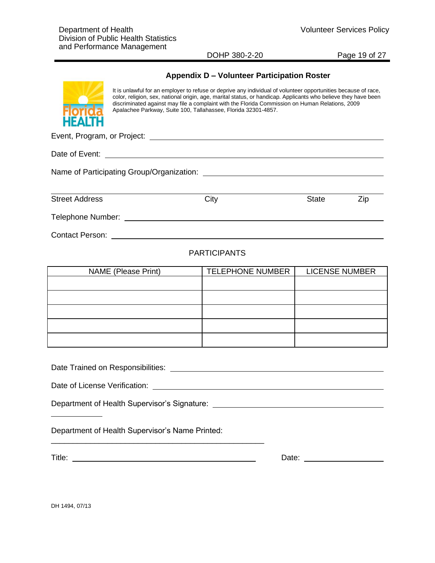DOHP 380-2-20 Page 19 of 27

#### **Appendix D – Volunteer Participation Roster**



It is unlawful for an employer to refuse or deprive any individual of volunteer opportunities because of race, color, religion, sex, national origin, age, marital status, or handicap. Applicants who believe they have been discriminated against may file a complaint with the Florida Commission on Human Relations, 2009 Apalachee Parkway, Suite 100, Tallahassee, Florida 32301-4857.

Event, Program, or Project:

Date of Event:

Name of Participating Group/Organization:

Street Address City City State Zip

Telephone Number:

Contact Person:

### PARTICIPANTS

| NAME (Please Print) | <b>TELEPHONE NUMBER</b> | <b>LICENSE NUMBER</b> |
|---------------------|-------------------------|-----------------------|
|                     |                         |                       |
|                     |                         |                       |
|                     |                         |                       |
|                     |                         |                       |
|                     |                         |                       |

Date Trained on Responsibilities: **Date Trained Structure Contains and Containing Containing Containing Contains a** 

Date of License Verification: **Example 2018** 

Department of Health Supervisor's Signature:

Department of Health Supervisor's Name Printed:

\_\_\_\_\_\_\_\_\_\_\_\_\_\_\_\_\_\_\_\_\_\_\_\_\_\_\_\_\_\_\_\_\_\_\_\_\_\_\_\_\_\_\_\_\_\_\_\_\_

Title: Date:

DH 1494, 07/13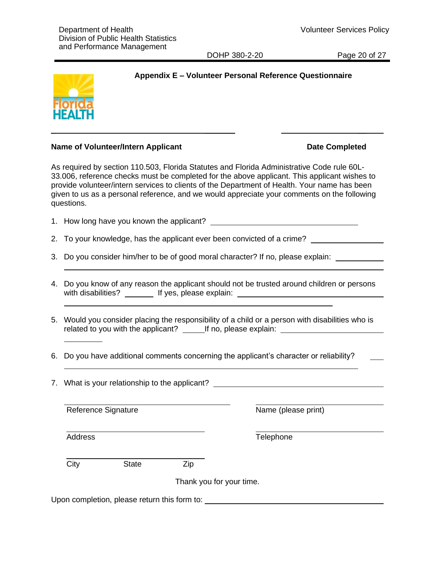DOHP 380-2-20 Page 20 of 27

# **Appendix E – Volunteer Personal Reference Questionnaire**



#### **Name of Volunteer/Intern Applicant Date Completed**

As required by section 110.503, Florida Statutes and Florida Administrative Code rule 60L-33.006, reference checks must be completed for the above applicant. This applicant wishes to provide volunteer/intern services to clients of the Department of Health. Your name has been given to us as a personal reference, and we would appreciate your comments on the following questions.

\_ \_\_\_\_\_\_\_ \_\_

- 1. How long have you known the applicant?
- 2. To your knowledge, has the applicant ever been convicted of a crime?
- 3. Do you consider him/her to be of good moral character? If no, please explain:
- 4. Do you know of any reason the applicant should not be trusted around children or persons with disabilities? \_\_\_\_\_\_\_\_ If yes, please explain: \_\_\_\_\_\_\_\_\_\_\_\_\_\_\_\_\_\_\_\_\_\_\_\_\_\_\_\_
- 5. Would you consider placing the responsibility of a child or a person with disabilities who is related to you with the applicant? If no, please explain: If no it is not all the set of the set of the set of
- 6. Do you have additional comments concerning the applicant's character or reliability?
- 7. What is your relationship to the applicant?

Reference Signature Name (please print)

City State Zip

Thank you for your time.

Upon completion, please return this form to:

Address Telephone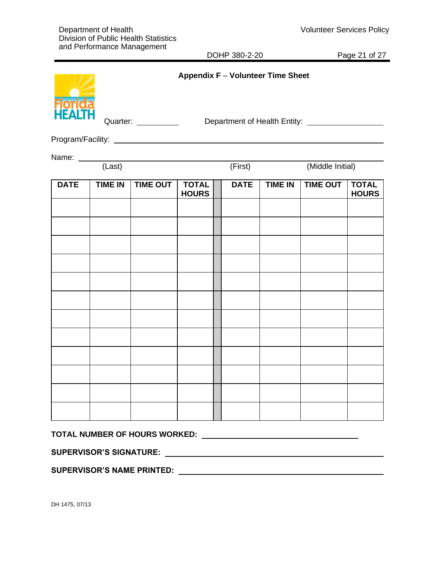DOHP 380-2-20 Page 21 of 27

| Florida<br>HEALTH |                | Quarter: _________ |                              | Appendix F - Volunteer Time Sheet |                |                  |                              |
|-------------------|----------------|--------------------|------------------------------|-----------------------------------|----------------|------------------|------------------------------|
|                   |                |                    |                              |                                   |                |                  |                              |
|                   |                | Name: (Last)       |                              |                                   |                |                  |                              |
|                   |                |                    |                              | (First)                           |                | (Middle Initial) |                              |
| <b>DATE</b>       | <b>TIME IN</b> | <b>TIME OUT</b>    | <b>TOTAL</b><br><b>HOURS</b> | <b>DATE</b>                       | <b>TIME IN</b> | <b>TIME OUT</b>  | <b>TOTAL</b><br><b>HOURS</b> |
|                   |                |                    |                              |                                   |                |                  |                              |
|                   |                |                    |                              |                                   |                |                  |                              |
|                   |                |                    |                              |                                   |                |                  |                              |
|                   |                |                    |                              |                                   |                |                  |                              |
|                   |                |                    |                              |                                   |                |                  |                              |
|                   |                |                    |                              |                                   |                |                  |                              |
|                   |                |                    |                              |                                   |                |                  |                              |
|                   |                |                    |                              |                                   |                |                  |                              |
|                   |                |                    |                              |                                   |                |                  |                              |
|                   |                |                    |                              |                                   |                |                  |                              |
|                   |                |                    |                              |                                   |                |                  |                              |
|                   |                |                    |                              |                                   |                |                  |                              |
|                   |                |                    |                              |                                   |                |                  |                              |

**TOTAL NUMBER OF HOURS WORKED:** 

**SUPERVISOR'S SIGNATURE:** 

**SUPERVISOR'S NAME PRINTED:**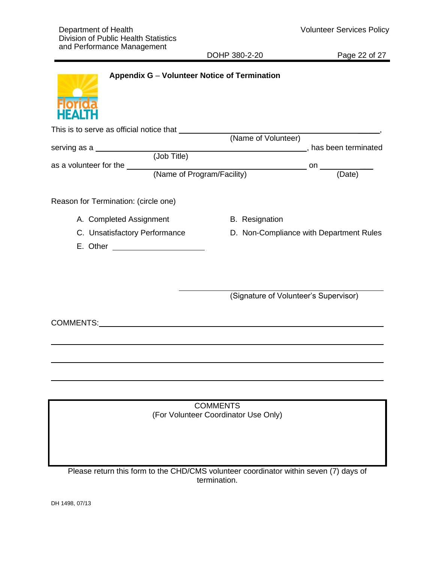DOHP 380-2-20 Page 22 of 27



| This is to serve as official notice that |                       |                                         |
|------------------------------------------|-----------------------|-----------------------------------------|
|                                          | (Name of Volunteer)   |                                         |
| serving as a                             |                       | has been terminated                     |
| (Job Title)                              |                       |                                         |
| as a volunteer for the                   |                       | on                                      |
| (Name of Program/Facility)               |                       | (Date)                                  |
| Reason for Termination: (circle one)     |                       |                                         |
| A. Completed Assignment                  | <b>B.</b> Resignation |                                         |
| C. Unsatisfactory Performance            |                       | D. Non-Compliance with Department Rules |
| E. Other                                 |                       |                                         |

(Signature of Volunteer's Supervisor)

COMMENTS:

COMMENTS (For Volunteer Coordinator Use Only)

Please return this form to the CHD/CMS volunteer coordinator within seven (7) days of termination.

DH 1498, 07/13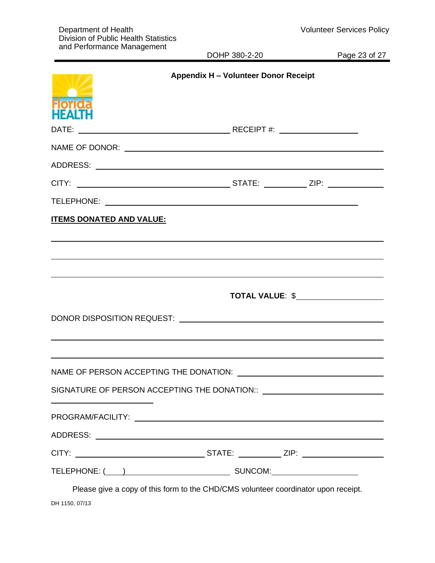| and Performance Management      | DOHP 380-2-20                                                                                                   | Page 23 of 27 |
|---------------------------------|-----------------------------------------------------------------------------------------------------------------|---------------|
| <b>HFALT</b>                    | <b>Appendix H - Volunteer Donor Receipt</b>                                                                     |               |
|                                 |                                                                                                                 |               |
|                                 |                                                                                                                 |               |
|                                 |                                                                                                                 |               |
|                                 |                                                                                                                 |               |
|                                 |                                                                                                                 |               |
| <b>ITEMS DONATED AND VALUE:</b> |                                                                                                                 |               |
|                                 |                                                                                                                 |               |
|                                 |                                                                                                                 |               |
|                                 |                                                                                                                 |               |
|                                 | NAME OF PERSON ACCEPTING THE DONATION: \\contractLOUDERATION:\\contractLOUDERATION:\\contractLOUDERATION:\\cont |               |
|                                 |                                                                                                                 |               |
|                                 |                                                                                                                 |               |
|                                 |                                                                                                                 |               |
|                                 | CITY: ___________________________________STATE: _____________ZIP: _______________                               |               |
|                                 |                                                                                                                 |               |

Please give a copy of this form to the CHD/CMS volunteer coordinator upon receipt. DH 1150, 07/13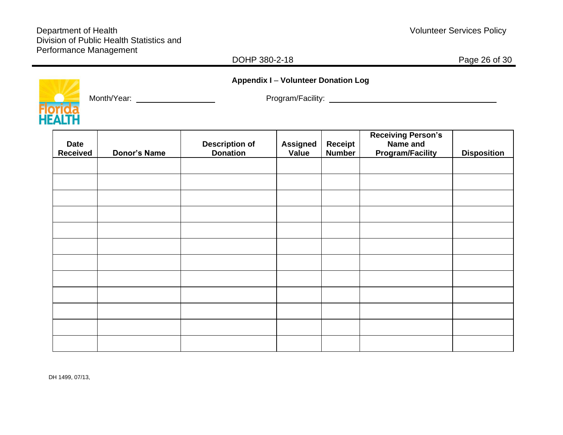# DOHP 380-2-18 **Page 26 of 30**



Month/Year: Program/Facility:

**Appendix I** – **Volunteer Donation Log**

| <b>Date</b><br><b>Received</b> | <b>Donor's Name</b> | <b>Description of<br/>Donation</b> | <b>Assigned</b><br>Value | <b>Receipt</b><br><b>Number</b> | <b>Receiving Person's</b><br>Name and<br><b>Program/Facility</b> | <b>Disposition</b> |
|--------------------------------|---------------------|------------------------------------|--------------------------|---------------------------------|------------------------------------------------------------------|--------------------|
|                                |                     |                                    |                          |                                 |                                                                  |                    |
|                                |                     |                                    |                          |                                 |                                                                  |                    |
|                                |                     |                                    |                          |                                 |                                                                  |                    |
|                                |                     |                                    |                          |                                 |                                                                  |                    |
|                                |                     |                                    |                          |                                 |                                                                  |                    |
|                                |                     |                                    |                          |                                 |                                                                  |                    |
|                                |                     |                                    |                          |                                 |                                                                  |                    |
|                                |                     |                                    |                          |                                 |                                                                  |                    |
|                                |                     |                                    |                          |                                 |                                                                  |                    |
|                                |                     |                                    |                          |                                 |                                                                  |                    |
|                                |                     |                                    |                          |                                 |                                                                  |                    |
|                                |                     |                                    |                          |                                 |                                                                  |                    |

DH 1499, 07/13,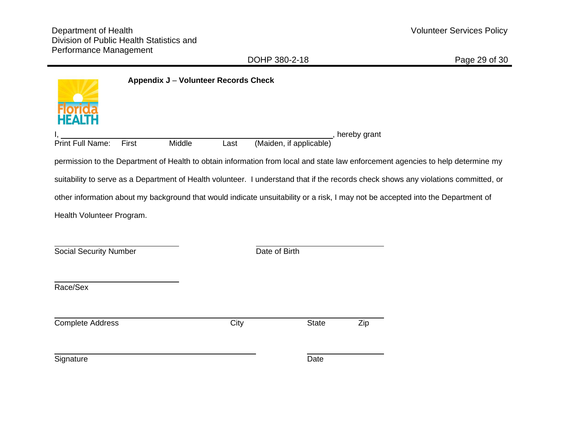DOHP 380-2-18 Page 29 of 30

|                                                                                                                                 | Appendix J - Volunteer Records Check |                         |                |                                                                                                                                     |
|---------------------------------------------------------------------------------------------------------------------------------|--------------------------------------|-------------------------|----------------|-------------------------------------------------------------------------------------------------------------------------------------|
|                                                                                                                                 |                                      |                         |                |                                                                                                                                     |
| <b>Print Full Name:</b><br>First                                                                                                | Middle<br>Last                       | (Maiden, if applicable) | , hereby grant |                                                                                                                                     |
|                                                                                                                                 |                                      |                         |                | permission to the Department of Health to obtain information from local and state law enforcement agencies to help determine my     |
|                                                                                                                                 |                                      |                         |                | suitability to serve as a Department of Health volunteer. I understand that if the records check shows any violations committed, or |
| other information about my background that would indicate unsuitability or a risk, I may not be accepted into the Department of |                                      |                         |                |                                                                                                                                     |
| Health Volunteer Program.                                                                                                       |                                      |                         |                |                                                                                                                                     |
|                                                                                                                                 |                                      |                         |                |                                                                                                                                     |
| <b>Social Security Number</b>                                                                                                   |                                      | Date of Birth           |                |                                                                                                                                     |
|                                                                                                                                 |                                      |                         |                |                                                                                                                                     |
| Race/Sex                                                                                                                        |                                      |                         |                |                                                                                                                                     |
|                                                                                                                                 |                                      |                         |                |                                                                                                                                     |
| <b>Complete Address</b>                                                                                                         | City                                 | <b>State</b>            | Zip            |                                                                                                                                     |
|                                                                                                                                 |                                      |                         |                |                                                                                                                                     |
| Signature                                                                                                                       |                                      | Date                    |                |                                                                                                                                     |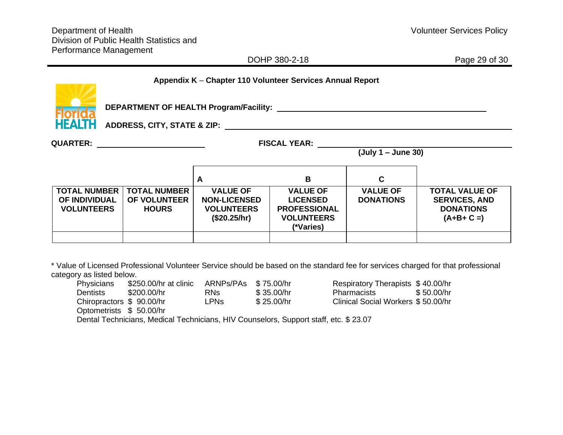|                                                                                                                                                                                                                                                                            |                                                                                                                        |                     |                                   | DOHP 380-2-18                                             |                  | Page 29 of 30                  |
|----------------------------------------------------------------------------------------------------------------------------------------------------------------------------------------------------------------------------------------------------------------------------|------------------------------------------------------------------------------------------------------------------------|---------------------|-----------------------------------|-----------------------------------------------------------|------------------|--------------------------------|
|                                                                                                                                                                                                                                                                            |                                                                                                                        |                     |                                   | Appendix K - Chapter 110 Volunteer Services Annual Report |                  |                                |
|                                                                                                                                                                                                                                                                            | <b>DEPARTMENT OF HEALTH Program/Facility:</b>                                                                          |                     |                                   |                                                           |                  |                                |
|                                                                                                                                                                                                                                                                            | <b>HEALTH</b><br>ADDRESS, CITY, STATE & ZIP: AND AND AND ANNUAL METALLIC AND ANNUAL METALLIC AND ANNUAL METALLIC AND A |                     |                                   |                                                           |                  |                                |
| QUARTER: __________________________<br><b>FISCAL YEAR:</b> The state of the state of the state of the state of the state of the state of the state of the state of the state of the state of the state of the state of the state of the state of the state of the state of |                                                                                                                        |                     |                                   |                                                           |                  |                                |
| $(July 1 - June 30)$                                                                                                                                                                                                                                                       |                                                                                                                        |                     |                                   |                                                           |                  |                                |
|                                                                                                                                                                                                                                                                            |                                                                                                                        |                     |                                   |                                                           |                  |                                |
|                                                                                                                                                                                                                                                                            |                                                                                                                        |                     | A                                 | B                                                         | $\mathbf C$      |                                |
| <b>TOTAL NUMBER</b>                                                                                                                                                                                                                                                        |                                                                                                                        | <b>TOTAL NUMBER</b> | <b>VALUE OF</b>                   | <b>VALUE OF</b>                                           | <b>VALUE OF</b>  | <b>TOTAL VALUE OF</b>          |
| <b>OF INDIVIDUAL</b>                                                                                                                                                                                                                                                       |                                                                                                                        | OF VOLUNTEER        | <b>NON-LICENSED</b>               | <b>LICENSED</b>                                           | <b>DONATIONS</b> | <b>SERVICES, AND</b>           |
| <b>VOLUNTEERS</b>                                                                                                                                                                                                                                                          |                                                                                                                        | <b>HOURS</b>        | <b>VOLUNTEERS</b><br>(\$20.25/hr) | <b>PROFESSIONAL</b><br><b>VOLUNTEERS</b><br>(*Varies)     |                  | <b>DONATIONS</b><br>$(A+B+C=)$ |
|                                                                                                                                                                                                                                                                            |                                                                                                                        |                     |                                   |                                                           |                  |                                |

\* Value of Licensed Professional Volunteer Service should be based on the standard fee for services charged for that professional category as listed below.

| <b>Physicians</b>        | \$250.00/hr at clinic | ARNPs/PAs \$75.00/hr |                                                                                      | Respiratory Therapists \$40.00/hr  |            |
|--------------------------|-----------------------|----------------------|--------------------------------------------------------------------------------------|------------------------------------|------------|
| <b>Dentists</b>          | \$200.00/hr           | RNs.                 | \$35,00/hr                                                                           | <b>Pharmacists</b>                 | \$50.00/hr |
| Chiropractors \$90.00/hr |                       | <b>LPNs</b>          | \$25.00/hr                                                                           | Clinical Social Workers \$50.00/hr |            |
| Optometrists \$50.00/hr  |                       |                      |                                                                                      |                                    |            |
|                          |                       |                      | Dental Technicians, Medical Technicians, HIV Counselors, Support staff, etc. \$23.07 |                                    |            |